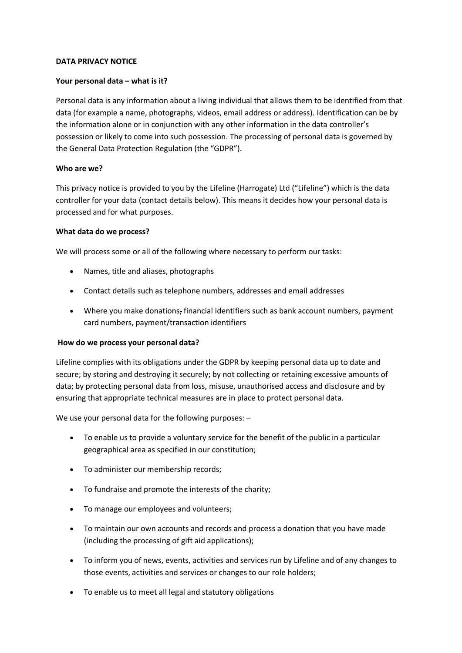#### **DATA PRIVACY NOTICE**

#### **Your personal data – what is it?**

Personal data is any information about a living individual that allows them to be identified from that data (for example a name, photographs, videos, email address or address). Identification can be by the information alone or in conjunction with any other information in the data controller's possession or likely to come into such possession. The processing of personal data is governed by the General Data Protection Regulation (the "GDPR").

#### **Who are we?**

This privacy notice is provided to you by the Lifeline (Harrogate) Ltd ("Lifeline") which is the data controller for your data (contact details below). This means it decides how your personal data is processed and for what purposes.

#### **What data do we process?**

We will process some or all of the following where necessary to perform our tasks:

- Names, title and aliases, photographs
- Contact details such as telephone numbers, addresses and email addresses
- Where you make donations, financial identifiers such as bank account numbers, payment card numbers, payment/transaction identifiers

#### **How do we process your personal data?**

Lifeline complies with its obligations under the GDPR by keeping personal data up to date and secure; by storing and destroying it securely; by not collecting or retaining excessive amounts of data; by protecting personal data from loss, misuse, unauthorised access and disclosure and by ensuring that appropriate technical measures are in place to protect personal data.

We use your personal data for the following purposes: –

- To enable us to provide a voluntary service for the benefit of the public in a particular geographical area as specified in our constitution;
- To administer our membership records;
- To fundraise and promote the interests of the charity;
- To manage our employees and volunteers;
- To maintain our own accounts and records and process a donation that you have made (including the processing of gift aid applications);
- To inform you of news, events, activities and services run by Lifeline and of any changes to those events, activities and services or changes to our role holders;
- To enable us to meet all legal and statutory obligations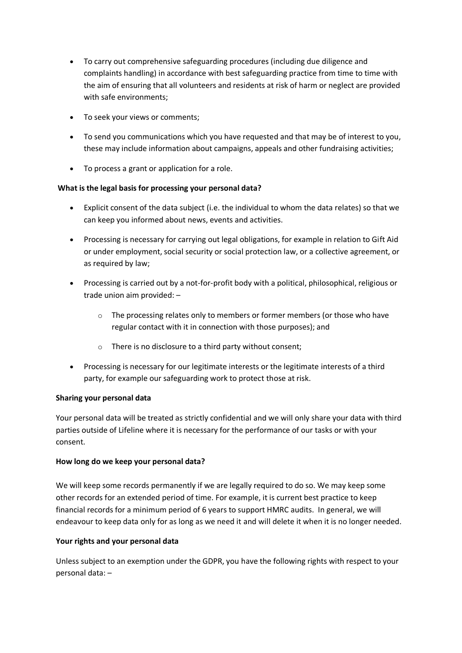- To carry out comprehensive safeguarding procedures (including due diligence and complaints handling) in accordance with best safeguarding practice from time to time with the aim of ensuring that all volunteers and residents at risk of harm or neglect are provided with safe environments;
- To seek your views or comments;
- To send you communications which you have requested and that may be of interest to you, these may include information about campaigns, appeals and other fundraising activities;
- To process a grant or application for a role.

# **What is the legal basis for processing your personal data?**

- Explicit consent of the data subject (i.e. the individual to whom the data relates) so that we can keep you informed about news, events and activities.
- Processing is necessary for carrying out legal obligations, for example in relation to Gift Aid or under employment, social security or social protection law, or a collective agreement, or as required by law;
- Processing is carried out by a not-for-profit body with a political, philosophical, religious or trade union aim provided: –
	- o The processing relates only to members or former members (or those who have regular contact with it in connection with those purposes); and
	- o There is no disclosure to a third party without consent;
- Processing is necessary for our legitimate interests or the legitimate interests of a third party, for example our safeguarding work to protect those at risk.

# **Sharing your personal data**

Your personal data will be treated as strictly confidential and we will only share your data with third parties outside of Lifeline where it is necessary for the performance of our tasks or with your consent.

# **How long do we keep your personal data?**

We will keep some records permanently if we are legally required to do so. We may keep some other records for an extended period of time. For example, it is current best practice to keep financial records for a minimum period of 6 years to support HMRC audits. In general, we will endeavour to keep data only for as long as we need it and will delete it when it is no longer needed.

# **Your rights and your personal data**

Unless subject to an exemption under the GDPR, you have the following rights with respect to your personal data: –